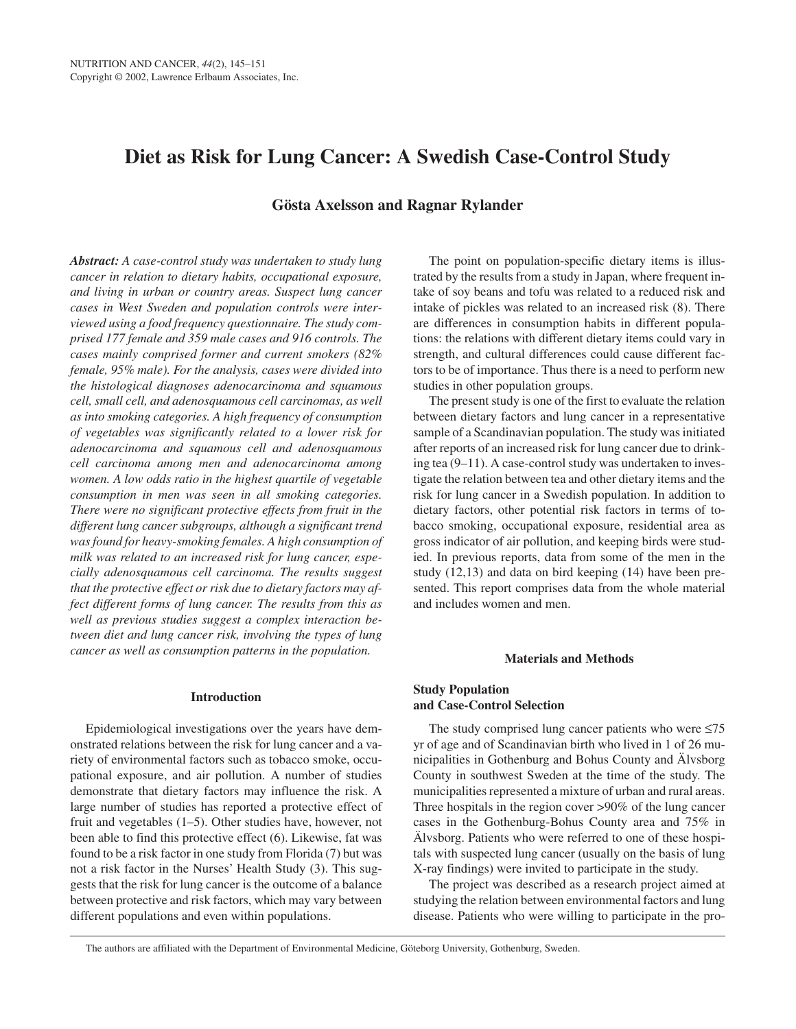# **Diet as Risk for Lung Cancer: A Swedish Case-Control Study**

**Gösta Axelsson and Ragnar Rylander**

*Abstract: A case-control study was undertaken to study lung cancer in relation to dietary habits, occupational exposure, and living in urban or country areas. Suspect lung cancer cases in West Sweden and population controls were interviewed using a food frequency questionnaire. The study comprised 177 female and 359 male cases and 916 controls. The cases mainly comprised former and current smokers (82% female, 95% male). For the analysis, cases were divided into the histological diagnoses adenocarcinoma and squamous cell, small cell, and adenosquamous cell carcinomas, as well as into smoking categories. A high frequency of consumption of vegetables was significantly related to a lower risk for adenocarcinoma and squamous cell and adenosquamous cell carcinoma among men and adenocarcinoma among women. A low odds ratio in the highest quartile of vegetable consumption in men was seen in all smoking categories. There were no significant protective effects from fruit in the different lung cancer subgroups, although a significant trend was found for heavy-smoking females. A high consumption of milk was related to an increased risk for lung cancer, especially adenosquamous cell carcinoma. The results suggest that the protective effect or risk due to dietary factors may affect different forms of lung cancer. The results from this as well as previous studies suggest a complex interaction between diet and lung cancer risk, involving the types of lung cancer as well as consumption patterns in the population.*

### **Introduction**

Epidemiological investigations over the years have demonstrated relations between the risk for lung cancer and a variety of environmental factors such as tobacco smoke, occupational exposure, and air pollution. A number of studies demonstrate that dietary factors may influence the risk. A large number of studies has reported a protective effect of fruit and vegetables (1–5). Other studies have, however, not been able to find this protective effect (6). Likewise, fat was found to be a risk factor in one study from Florida (7) but was not a risk factor in the Nurses' Health Study (3). This suggests that the risk for lung cancer is the outcome of a balance between protective and risk factors, which may vary between different populations and even within populations.

The point on population-specific dietary items is illustrated by the results from a study in Japan, where frequent intake of soy beans and tofu was related to a reduced risk and intake of pickles was related to an increased risk (8). There are differences in consumption habits in different populations: the relations with different dietary items could vary in strength, and cultural differences could cause different factors to be of importance. Thus there is a need to perform new studies in other population groups.

The present study is one of the first to evaluate the relation between dietary factors and lung cancer in a representative sample of a Scandinavian population. The study was initiated after reports of an increased risk for lung cancer due to drinking tea (9–11). A case-control study was undertaken to investigate the relation between tea and other dietary items and the risk for lung cancer in a Swedish population. In addition to dietary factors, other potential risk factors in terms of tobacco smoking, occupational exposure, residential area as gross indicator of air pollution, and keeping birds were studied. In previous reports, data from some of the men in the study (12,13) and data on bird keeping (14) have been presented. This report comprises data from the whole material and includes women and men.

#### **Materials and Methods**

# **Study Population and Case-Control Selection**

The study comprised lung cancer patients who were ≤75 yr of age and of Scandinavian birth who lived in 1 of 26 municipalities in Gothenburg and Bohus County and Älvsborg County in southwest Sweden at the time of the study. The municipalities represented a mixture of urban and rural areas. Three hospitals in the region cover >90% of the lung cancer cases in the Gothenburg-Bohus County area and 75% in Älvsborg. Patients who were referred to one of these hospitals with suspected lung cancer (usually on the basis of lung X-ray findings) were invited to participate in the study.

The project was described as a research project aimed at studying the relation between environmental factors and lung disease. Patients who were willing to participate in the pro-

The authors are affiliated with the Department of Environmental Medicine, Göteborg University, Gothenburg, Sweden.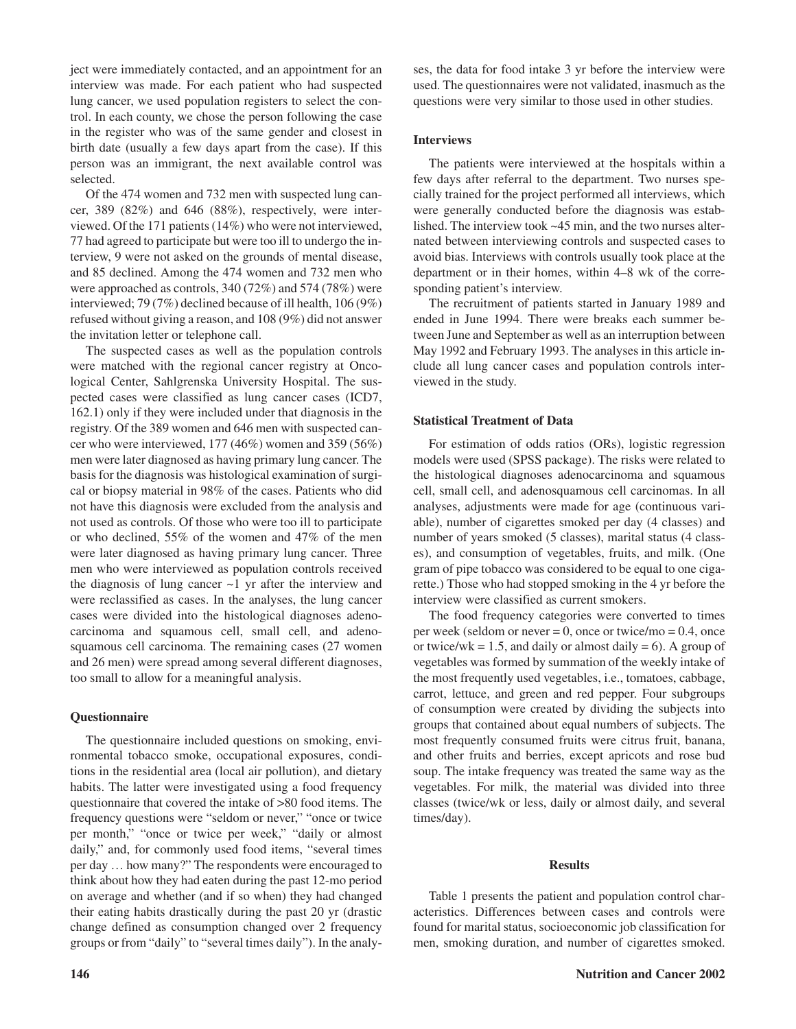ject were immediately contacted, and an appointment for an interview was made. For each patient who had suspected lung cancer, we used population registers to select the control. In each county, we chose the person following the case in the register who was of the same gender and closest in birth date (usually a few days apart from the case). If this person was an immigrant, the next available control was selected.

Of the 474 women and 732 men with suspected lung cancer, 389 (82%) and 646 (88%), respectively, were interviewed. Of the 171 patients (14%) who were not interviewed, 77 had agreed to participate but were too ill to undergo the interview, 9 were not asked on the grounds of mental disease, and 85 declined. Among the 474 women and 732 men who were approached as controls, 340 (72%) and 574 (78%) were interviewed; 79 (7%) declined because of ill health, 106 (9%) refused without giving a reason, and 108 (9%) did not answer the invitation letter or telephone call.

The suspected cases as well as the population controls were matched with the regional cancer registry at Oncological Center, Sahlgrenska University Hospital. The suspected cases were classified as lung cancer cases (ICD7, 162.1) only if they were included under that diagnosis in the registry. Of the 389 women and 646 men with suspected cancer who were interviewed, 177 (46%) women and 359 (56%) men were later diagnosed as having primary lung cancer. The basis for the diagnosis was histological examination of surgical or biopsy material in 98% of the cases. Patients who did not have this diagnosis were excluded from the analysis and not used as controls. Of those who were too ill to participate or who declined, 55% of the women and 47% of the men were later diagnosed as having primary lung cancer. Three men who were interviewed as population controls received the diagnosis of lung cancer  $\sim$ 1 yr after the interview and were reclassified as cases. In the analyses, the lung cancer cases were divided into the histological diagnoses adenocarcinoma and squamous cell, small cell, and adenosquamous cell carcinoma. The remaining cases (27 women and 26 men) were spread among several different diagnoses, too small to allow for a meaningful analysis.

# **Questionnaire**

The questionnaire included questions on smoking, environmental tobacco smoke, occupational exposures, conditions in the residential area (local air pollution), and dietary habits. The latter were investigated using a food frequency questionnaire that covered the intake of >80 food items. The frequency questions were "seldom or never," "once or twice per month," "once or twice per week," "daily or almost daily," and, for commonly used food items, "several times per day … how many?" The respondents were encouraged to think about how they had eaten during the past 12-mo period on average and whether (and if so when) they had changed their eating habits drastically during the past 20 yr (drastic change defined as consumption changed over 2 frequency groups or from "daily" to "several times daily"). In the analy-

ses, the data for food intake 3 yr before the interview were used. The questionnaires were not validated, inasmuch as the questions were very similar to those used in other studies.

## **Interviews**

The patients were interviewed at the hospitals within a few days after referral to the department. Two nurses specially trained for the project performed all interviews, which were generally conducted before the diagnosis was established. The interview took ~45 min, and the two nurses alternated between interviewing controls and suspected cases to avoid bias. Interviews with controls usually took place at the department or in their homes, within 4–8 wk of the corresponding patient's interview.

The recruitment of patients started in January 1989 and ended in June 1994. There were breaks each summer between June and September as well as an interruption between May 1992 and February 1993. The analyses in this article include all lung cancer cases and population controls interviewed in the study.

## **Statistical Treatment of Data**

For estimation of odds ratios (ORs), logistic regression models were used (SPSS package). The risks were related to the histological diagnoses adenocarcinoma and squamous cell, small cell, and adenosquamous cell carcinomas. In all analyses, adjustments were made for age (continuous variable), number of cigarettes smoked per day (4 classes) and number of years smoked (5 classes), marital status (4 classes), and consumption of vegetables, fruits, and milk. (One gram of pipe tobacco was considered to be equal to one cigarette.) Those who had stopped smoking in the 4 yr before the interview were classified as current smokers.

The food frequency categories were converted to times per week (seldom or never  $= 0$ , once or twice/mo  $= 0.4$ , once or twice/wk = 1.5, and daily or almost daily = 6). A group of vegetables was formed by summation of the weekly intake of the most frequently used vegetables, i.e., tomatoes, cabbage, carrot, lettuce, and green and red pepper. Four subgroups of consumption were created by dividing the subjects into groups that contained about equal numbers of subjects. The most frequently consumed fruits were citrus fruit, banana, and other fruits and berries, except apricots and rose bud soup. The intake frequency was treated the same way as the vegetables. For milk, the material was divided into three classes (twice/wk or less, daily or almost daily, and several times/day).

## **Results**

Table 1 presents the patient and population control characteristics. Differences between cases and controls were found for marital status, socioeconomic job classification for men, smoking duration, and number of cigarettes smoked.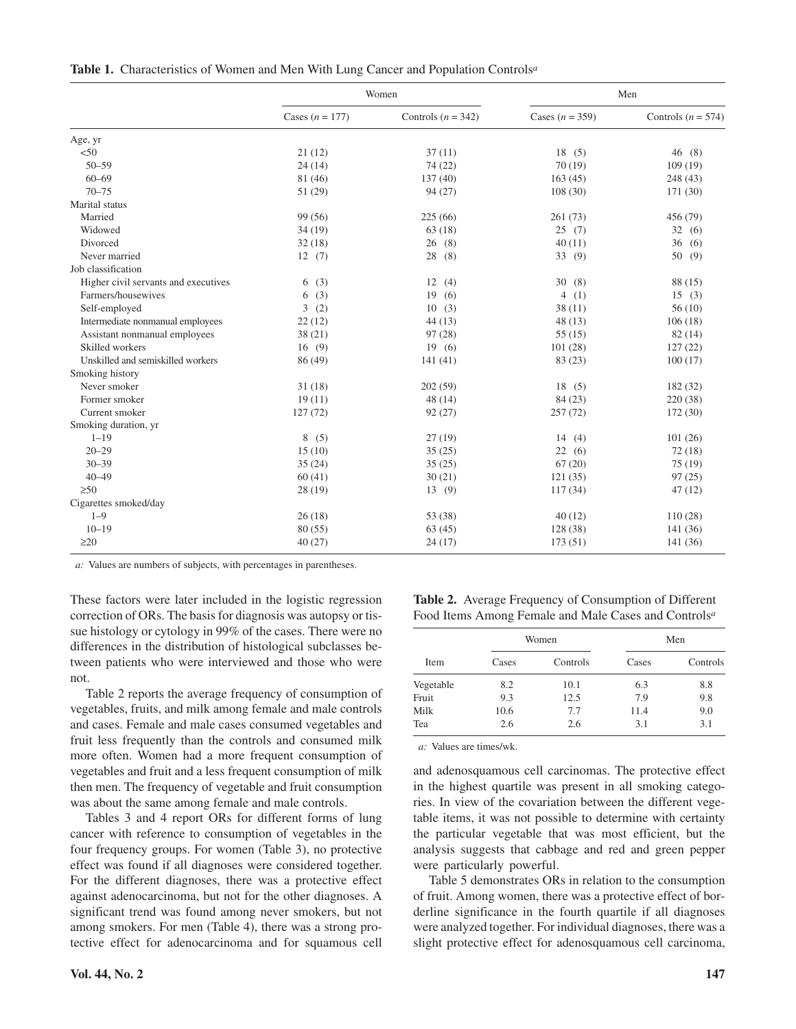|                                      | Women             |                      | Men               |                      |  |
|--------------------------------------|-------------------|----------------------|-------------------|----------------------|--|
|                                      | Cases $(n = 177)$ | Controls $(n = 342)$ | Cases $(n = 359)$ | Controls $(n = 574)$ |  |
| Age, yr                              |                   |                      |                   |                      |  |
| < 50                                 | 21(12)            | 37(11)               | 18(5)             | 46(8)                |  |
| $50 - 59$                            | 24(14)            | 74 (22)              | 70(19)            | 109(19)              |  |
| $60 - 69$                            | 81 (46)           | 137(40)              | 163(45)           | 248 (43)             |  |
| $70 - 75$                            | 51 (29)           | 94 (27)              | 108(30)           | 171 (30)             |  |
| Marital status                       |                   |                      |                   |                      |  |
| Married                              | 99 (56)           | 225(66)              | 261 (73)          | 456 (79)             |  |
| Widowed                              | 34(19)            | 63(18)               | 25(7)             | 32<br>(6)            |  |
| Divorced                             | 32(18)            | 26<br>(8)            | 40(11)            | 36<br>(6)            |  |
| Never married                        | 12(7)             | 28<br>(8)            | 33(9)             | 50 (9)               |  |
| Job classification                   |                   |                      |                   |                      |  |
| Higher civil servants and executives | 6(3)              | 12<br>(4)            | 30(8)             | 88 (15)              |  |
| Farmers/housewives                   | (3)<br>6          | 19<br>(6)            | 4(1)              | 15(3)                |  |
| Self-employed                        | (2)<br>3          | 10<br>(3)            | 38(11)            | 56(10)               |  |
| Intermediate nonmanual employees     | 22(12)            | 44(13)               | 48 (13)           | 106(18)              |  |
| Assistant nonmanual employees        | 38(21)            | 97(28)               | 55(15)            | 82(14)               |  |
| Skilled workers                      | 16(9)             | 19(6)                | 101(28)           | 127(22)              |  |
| Unskilled and semiskilled workers    | 86(49)            | 141(41)              | 83 (23)           | 100(17)              |  |
| Smoking history                      |                   |                      |                   |                      |  |
| Never smoker                         | 31(18)            | 202(59)              | 18(5)             | 182 (32)             |  |
| Former smoker                        | 19(11)            | 48 (14)              | 84 (23)           | 220(38)              |  |
| Current smoker                       | 127(72)           | 92(27)               | 257(72)           | 172 (30)             |  |
| Smoking duration, yr                 |                   |                      |                   |                      |  |
| $1 - 19$                             | 8(5)              | 27(19)               | 14(4)             | 101(26)              |  |
| $20 - 29$                            | 15(10)            | 35(25)               | 22(6)             | 72(18)               |  |
| $30 - 39$                            | 35(24)            | 35(25)               | 67(20)            | 75 (19)              |  |
| $40 - 49$                            | 60(41)            | 30(21)               | 121(35)           | 97(25)               |  |
| $\geq 50$                            | 28(19)            | 13(9)                | 117(34)           | 47(12)               |  |
| Cigarettes smoked/day                |                   |                      |                   |                      |  |

 $1-9$  26 (18)  $26 (18)$  53 (38)  $40 (12)$  110 (28)  $10-19$  80 (55) 63 (45) 128 (38) 141 (36)  $\geq$ 20 24 (17)  $\geq$  40 (27) 24 (17) 173 (51) 141 (36)

**Table 1.** Characteristics of Women and Men With Lung Cancer and Population Controls*<sup>a</sup>*

*a:* Values are numbers of subjects, with percentages in parentheses.

These factors were later included in the logistic regression correction of ORs. The basis for diagnosis was autopsy or tissue histology or cytology in 99% of the cases. There were no differences in the distribution of histological subclasses between patients who were interviewed and those who were not.

Table 2 reports the average frequency of consumption of vegetables, fruits, and milk among female and male controls and cases. Female and male cases consumed vegetables and fruit less frequently than the controls and consumed milk more often. Women had a more frequent consumption of vegetables and fruit and a less frequent consumption of milk then men. The frequency of vegetable and fruit consumption was about the same among female and male controls.

Tables 3 and 4 report ORs for different forms of lung cancer with reference to consumption of vegetables in the four frequency groups. For women (Table 3), no protective effect was found if all diagnoses were considered together. For the different diagnoses, there was a protective effect against adenocarcinoma, but not for the other diagnoses. A significant trend was found among never smokers, but not among smokers. For men (Table 4), there was a strong protective effect for adenocarcinoma and for squamous cell

| <b>Table 2.</b> Average Frequency of Consumption of Different    |  |
|------------------------------------------------------------------|--|
| Food Items Among Female and Male Cases and Controls <sup>a</sup> |  |

|           |       | Women    | Men   |          |  |
|-----------|-------|----------|-------|----------|--|
| Item      | Cases | Controls | Cases | Controls |  |
| Vegetable | 8.2   | 10.1     | 6.3   | 8.8      |  |
| Fruit     | 9.3   | 12.5     | 7.9   | 9.8      |  |
| Milk      | 10.6  | 7.7      | 11.4  | 9.0      |  |
| Tea       | 2.6   | 2.6      | 3.1   | 3.1      |  |

*a:* Values are times/wk.

and adenosquamous cell carcinomas. The protective effect in the highest quartile was present in all smoking categories. In view of the covariation between the different vegetable items, it was not possible to determine with certainty the particular vegetable that was most efficient, but the analysis suggests that cabbage and red and green pepper were particularly powerful.

Table 5 demonstrates ORs in relation to the consumption of fruit. Among women, there was a protective effect of borderline significance in the fourth quartile if all diagnoses were analyzed together. For individual diagnoses, there was a slight protective effect for adenosquamous cell carcinoma,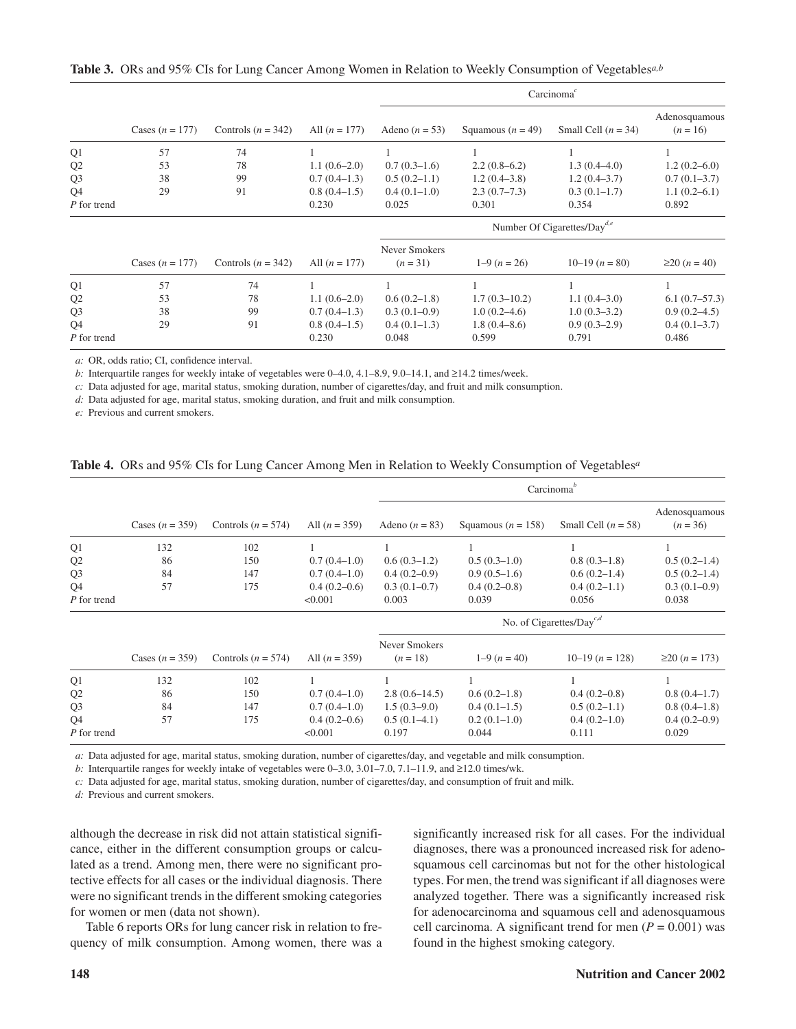|  |  | Table 3. ORs and 95% CIs for Lung Cancer Among Women in Relation to Weekly Consumption of Vegetablesa,b |  |  |
|--|--|---------------------------------------------------------------------------------------------------------|--|--|
|  |  |                                                                                                         |  |  |

|                |                   |                      |                 | Carcinoma <sup>c</sup>    |                     |                                         |                             |
|----------------|-------------------|----------------------|-----------------|---------------------------|---------------------|-----------------------------------------|-----------------------------|
|                | Cases $(n = 177)$ | Controls $(n = 342)$ | All $(n = 177)$ | Adeno $(n = 53)$          | Squamous $(n = 49)$ | Small Cell $(n = 34)$                   | Adenosquamous<br>$(n = 16)$ |
| Q1             | 57                | 74                   |                 |                           |                     |                                         |                             |
| Q <sub>2</sub> | 53                | 78                   | $1.1(0.6-2.0)$  | $0.7(0.3-1.6)$            | $2.2(0.8-6.2)$      | $1.3(0.4-4.0)$                          | $1.2(0.2-6.0)$              |
| Q <sub>3</sub> | 38                | 99                   | $0.7(0.4-1.3)$  | $0.5(0.2-1.1)$            | $1.2(0.4-3.8)$      | $1.2(0.4-3.7)$                          | $0.7(0.1-3.7)$              |
| Q <sub>4</sub> | 29                | 91                   | $0.8(0.4-1.5)$  | $0.4(0.1-1.0)$            | $2.3(0.7-7.3)$      | $0.3(0.1-1.7)$                          | $1.1(0.2-6.1)$              |
| P for trend    |                   |                      | 0.230           | 0.025                     | 0.301               | 0.354                                   | 0.892                       |
|                |                   |                      |                 |                           |                     | Number Of Cigarettes/Day <sup>d,e</sup> |                             |
|                | Cases $(n = 177)$ | Controls $(n = 342)$ | All $(n = 177)$ | Never Smokers<br>$(n=31)$ | $1-9(n=26)$         | $10-19(n=80)$                           | $\geq$ 20 $(n = 40)$        |
| Q <sub>1</sub> | 57                | 74                   |                 |                           |                     |                                         |                             |
| Q <sub>2</sub> | 53                | 78                   | $1.1(0.6-2.0)$  | $0.6(0.2-1.8)$            | $1.7(0.3-10.2)$     | $1.1(0.4-3.0)$                          | $6.1(0.7-57.3)$             |
| Q <sub>3</sub> | 38                | 99                   | $0.7(0.4-1.3)$  | $0.3(0.1-0.9)$            | $1.0(0.2-4.6)$      | $1.0(0.3-3.2)$                          | $0.9(0.2-4.5)$              |
| Q <sub>4</sub> | 29                | 91                   | $0.8(0.4-1.5)$  | $0.4(0.1-1.3)$            | 1.8(0.4–8.6)        | $0.9(0.3-2.9)$                          | $0.4(0.1-3.7)$              |
| P for trend    |                   |                      | 0.230           | 0.048                     | 0.599               | 0.791                                   | 0.486                       |

*a:* OR, odds ratio; CI, confidence interval.

*b*: Interquartile ranges for weekly intake of vegetables were 0–4.0, 4.1–8.9, 9.0–14.1, and ≥14.2 times/week.

*c:* Data adjusted for age, marital status, smoking duration, number of cigarettes/day, and fruit and milk consumption.

*d:* Data adjusted for age, marital status, smoking duration, and fruit and milk consumption.

*e:* Previous and current smokers.

|                |                   |                      |                 |                             |                        | Carcinoma <sup>b</sup>               |                             |
|----------------|-------------------|----------------------|-----------------|-----------------------------|------------------------|--------------------------------------|-----------------------------|
|                | Cases $(n = 359)$ | Controls $(n = 574)$ | All $(n = 359)$ | Adeno $(n = 83)$            | Squamous ( $n = 158$ ) | Small Cell $(n = 58)$                | Adenosquamous<br>$(n = 36)$ |
| Q <sub>1</sub> | 132               | 102                  |                 |                             |                        |                                      |                             |
| Q <sub>2</sub> | 86                | 150                  | $0.7(0.4-1.0)$  | $0.6(0.3-1.2)$              | $0.5(0.3-1.0)$         | $0.8(0.3-1.8)$                       | $0.5(0.2-1.4)$              |
| Q <sub>3</sub> | 84                | 147                  | $0.7(0.4-1.0)$  | $0.4(0.2-0.9)$              | $0.9(0.5-1.6)$         | $0.6(0.2-1.4)$                       | $0.5(0.2-1.4)$              |
| Q <sub>4</sub> | 57                | 175                  | $0.4(0.2-0.6)$  | $0.3(0.1-0.7)$              | $0.4(0.2-0.8)$         | $0.4(0.2-1.1)$                       | $0.3(0.1-0.9)$              |
| P for trend    |                   |                      | < 0.001         | 0.003                       | 0.039                  | 0.056                                | 0.038                       |
|                |                   |                      |                 |                             |                        | No. of Cigarettes/Day <sup>c,d</sup> |                             |
|                | Cases $(n = 359)$ | Controls $(n = 574)$ | All $(n = 359)$ | Never Smokers<br>$(n = 18)$ | $1-9(n=40)$            | $10-19$ $(n = 128)$                  | $\geq$ 20 ( <i>n</i> = 173) |
| Q <sub>1</sub> | 132               | 102                  |                 |                             |                        |                                      |                             |
| Q <sub>2</sub> | 86                | 150                  | $0.7(0.4-1.0)$  | $2.8(0.6-14.5)$             | $0.6(0.2-1.8)$         | $0.4(0.2-0.8)$                       | $0.8(0.4-1.7)$              |
| Q <sub>3</sub> | 84                | 147                  | $0.7(0.4-1.0)$  | $1.5(0.3-9.0)$              | $0.4(0.1-1.5)$         | $0.5(0.2-1.1)$                       | $0.8(0.4-1.8)$              |
| Q <sub>4</sub> | 57                | 175                  | $0.4(0.2-0.6)$  | $0.5(0.1-4.1)$              | $0.2(0.1-1.0)$         | $0.4(0.2-1.0)$                       | $0.4(0.2-0.9)$              |
| P for trend    |                   |                      | < 0.001         | 0.197                       | 0.044                  | 0.111                                | 0.029                       |

*a:* Data adjusted for age, marital status, smoking duration, number of cigarettes/day, and vegetable and milk consumption.

*b:* Interquartile ranges for weekly intake of vegetables were 0–3.0, 3.01–7.0, 7.1–11.9, and ≥12.0 times/wk.

*c:* Data adjusted for age, marital status, smoking duration, number of cigarettes/day, and consumption of fruit and milk.

*d:* Previous and current smokers.

although the decrease in risk did not attain statistical significance, either in the different consumption groups or calculated as a trend. Among men, there were no significant protective effects for all cases or the individual diagnosis. There were no significant trends in the different smoking categories for women or men (data not shown).

Table 6 reports ORs for lung cancer risk in relation to frequency of milk consumption. Among women, there was a

significantly increased risk for all cases. For the individual diagnoses, there was a pronounced increased risk for adenosquamous cell carcinomas but not for the other histological types. For men, the trend was significant if all diagnoses were analyzed together. There was a significantly increased risk for adenocarcinoma and squamous cell and adenosquamous cell carcinoma. A significant trend for men ( $P = 0.001$ ) was found in the highest smoking category.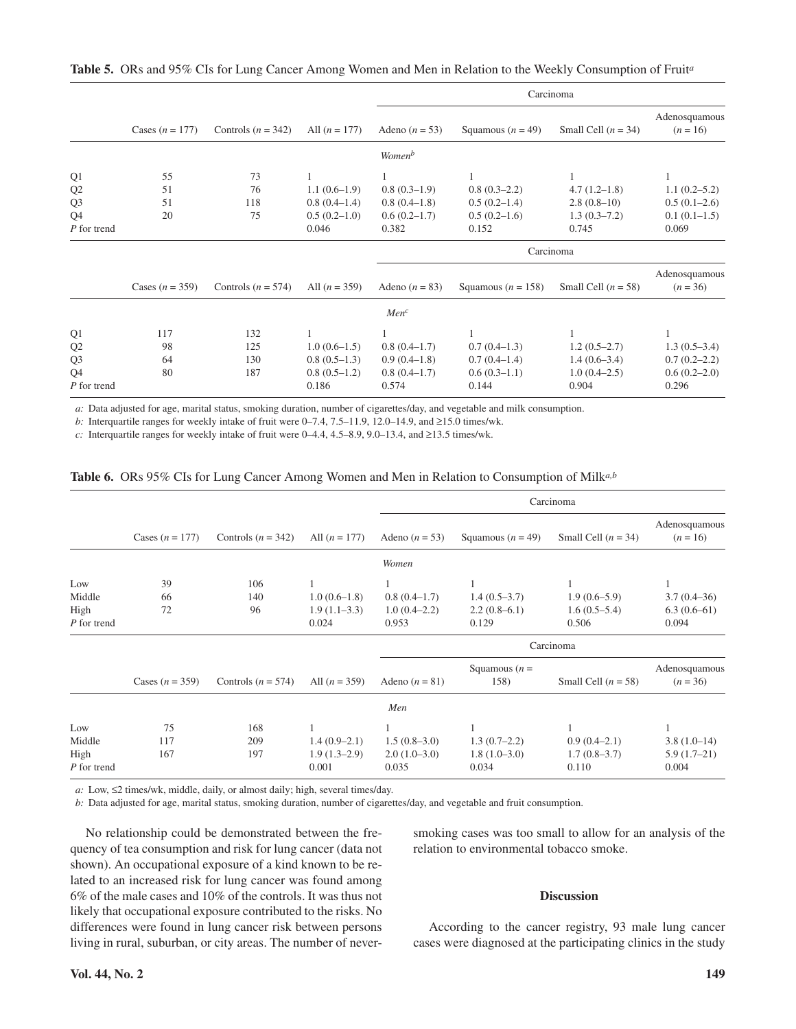|  |  | Table 5. ORs and 95% CIs for Lung Cancer Among Women and Men in Relation to the Weekly Consumption of Fruit <sup>a</sup> |  |
|--|--|--------------------------------------------------------------------------------------------------------------------------|--|
|  |  |                                                                                                                          |  |

|                |                   |                      |                 |                    | Carcinoma              |                       |                             |  |
|----------------|-------------------|----------------------|-----------------|--------------------|------------------------|-----------------------|-----------------------------|--|
|                | Cases $(n = 177)$ | Controls $(n = 342)$ |                 | Adeno $(n = 53)$   | Squamous $(n = 49)$    | Small Cell $(n = 34)$ | Adenosquamous<br>$(n = 16)$ |  |
|                |                   |                      |                 | Women <sup>b</sup> |                        |                       |                             |  |
| Q <sub>1</sub> | 55                | 73                   |                 |                    | 1                      | 1                     |                             |  |
| Q <sub>2</sub> | 51                | 76                   | $1.1(0.6-1.9)$  | $0.8(0.3-1.9)$     | $0.8(0.3-2.2)$         | $4.7(1.2-1.8)$        | $1.1(0.2 - 5.2)$            |  |
| Q <sub>3</sub> | 51                | 118                  | $0.8(0.4-1.4)$  | $0.8(0.4-1.8)$     | $0.5(0.2-1.4)$         | $2.8(0.8-10)$         | $0.5(0.1-2.6)$              |  |
| Q4             | 20                | 75                   | $0.5(0.2-1.0)$  | $0.6(0.2-1.7)$     | $0.5(0.2-1.6)$         | $1.3(0.3 - 7.2)$      | $0.1(0.1-1.5)$              |  |
| P for trend    |                   |                      | 0.046           | 0.382              | 0.152                  | 0.745                 | 0.069                       |  |
|                |                   |                      |                 |                    |                        | Carcinoma             |                             |  |
|                |                   |                      |                 |                    |                        |                       | Adenosquamous               |  |
|                | Cases $(n = 359)$ | Controls $(n = 574)$ | All $(n = 359)$ | Adeno $(n = 83)$   | Squamous ( $n = 158$ ) | Small Cell $(n = 58)$ | $(n = 36)$                  |  |
|                |                   |                      |                 | Men <sup>c</sup>   |                        |                       |                             |  |
| Q <sub>1</sub> | 117               | 132                  |                 |                    |                        |                       |                             |  |
| Q <sub>2</sub> | 98                | 125                  | $1.0(0.6-1.5)$  | $0.8(0.4-1.7)$     | $0.7(0.4-1.3)$         | $1.2(0.5-2.7)$        | $1.3(0.5-3.4)$              |  |
| Q <sub>3</sub> | 64                | 130                  | $0.8(0.5-1.3)$  | $0.9(0.4-1.8)$     | $0.7(0.4-1.4)$         | $1.4(0.6-3.4)$        | $0.7(0.2 - 2.2)$            |  |
| Q <sub>4</sub> | 80                | 187                  | $0.8(0.5-1.2)$  | $0.8(0.4-1.7)$     | $0.6(0.3-1.1)$         | $1.0(0.4-2.5)$        | $0.6(0.2-2.0)$              |  |
| P for trend    |                   |                      | 0.186           | 0.574              | 0.144                  | 0.904                 | 0.296                       |  |

*a:* Data adjusted for age, marital status, smoking duration, number of cigarettes/day, and vegetable and milk consumption.

*b*: Interquartile ranges for weekly intake of fruit were 0–7.4, 7.5–11.9, 12.0–14.9, and ≥15.0 times/wk.

*c*: Interquartile ranges for weekly intake of fruit were 0–4.4, 4.5–8.9, 9.0–13.4, and ≥13.5 times/wk.

|                                      |                   |                      |                                           |                                                | Carcinoma                                 |                                           |                                           |  |
|--------------------------------------|-------------------|----------------------|-------------------------------------------|------------------------------------------------|-------------------------------------------|-------------------------------------------|-------------------------------------------|--|
|                                      | Cases $(n = 177)$ | Controls $(n = 342)$ | All $(n = 177)$                           | Adeno $(n = 53)$                               | Squamous $(n = 49)$                       | Small Cell $(n = 34)$                     | Adenosquamous<br>$(n = 16)$               |  |
|                                      |                   |                      |                                           | Women                                          |                                           |                                           |                                           |  |
| Low<br>Middle<br>High<br>P for trend | 39<br>66<br>72    | 106<br>140<br>96     | $1.0(0.6-1.8)$<br>$1.9(1.1-3.3)$<br>0.024 | 1<br>$0.8(0.4-1.7)$<br>$1.0(0.4-2.2)$<br>0.953 | $1.4(0.5-3.7)$<br>$2.2(0.8-6.1)$<br>0.129 | $1.9(0.6-5.9)$<br>$1.6(0.5-5.4)$<br>0.506 | $3.7(0.4 - 36)$<br>$6.3(0.6-61)$<br>0.094 |  |
|                                      |                   |                      |                                           |                                                |                                           | Carcinoma                                 |                                           |  |
|                                      | Cases $(n = 359)$ | Controls $(n = 574)$ | All $(n = 359)$                           | Adeno $(n = 81)$                               | Squamous $(n =$<br>158)                   | Small Cell $(n = 58)$                     | Adenosquamous<br>$(n = 36)$               |  |
|                                      |                   |                      |                                           | Men                                            |                                           |                                           |                                           |  |
| Low<br>Middle<br>High<br>P for trend | 75<br>117<br>167  | 168<br>209<br>197    | $1.4(0.9-2.1)$<br>$1.9(1.3-2.9)$<br>0.001 | 1<br>$1.5(0.8-3.0)$<br>$2.0(1.0-3.0)$<br>0.035 | $1.3(0.7-2.2)$<br>$1.8(1.0-3.0)$<br>0.034 | $0.9(0.4-2.1)$<br>$1.7(0.8-3.7)$<br>0.110 | $3.8(1.0-14)$<br>$5.9(1.7-21)$<br>0.004   |  |

|  |  |  |  |  |  | Table 6. ORs 95% CIs for Lung Cancer Among Women and Men in Relation to Consumption of Milka,b |
|--|--|--|--|--|--|------------------------------------------------------------------------------------------------|
|--|--|--|--|--|--|------------------------------------------------------------------------------------------------|

*a*: Low, ≤2 times/wk, middle, daily, or almost daily; high, several times/day.

*b:* Data adjusted for age, marital status, smoking duration, number of cigarettes/day, and vegetable and fruit consumption.

No relationship could be demonstrated between the frequency of tea consumption and risk for lung cancer (data not shown). An occupational exposure of a kind known to be related to an increased risk for lung cancer was found among 6% of the male cases and 10% of the controls. It was thus not likely that occupational exposure contributed to the risks. No differences were found in lung cancer risk between persons living in rural, suburban, or city areas. The number of neversmoking cases was too small to allow for an analysis of the relation to environmental tobacco smoke.

# **Discussion**

According to the cancer registry, 93 male lung cancer cases were diagnosed at the participating clinics in the study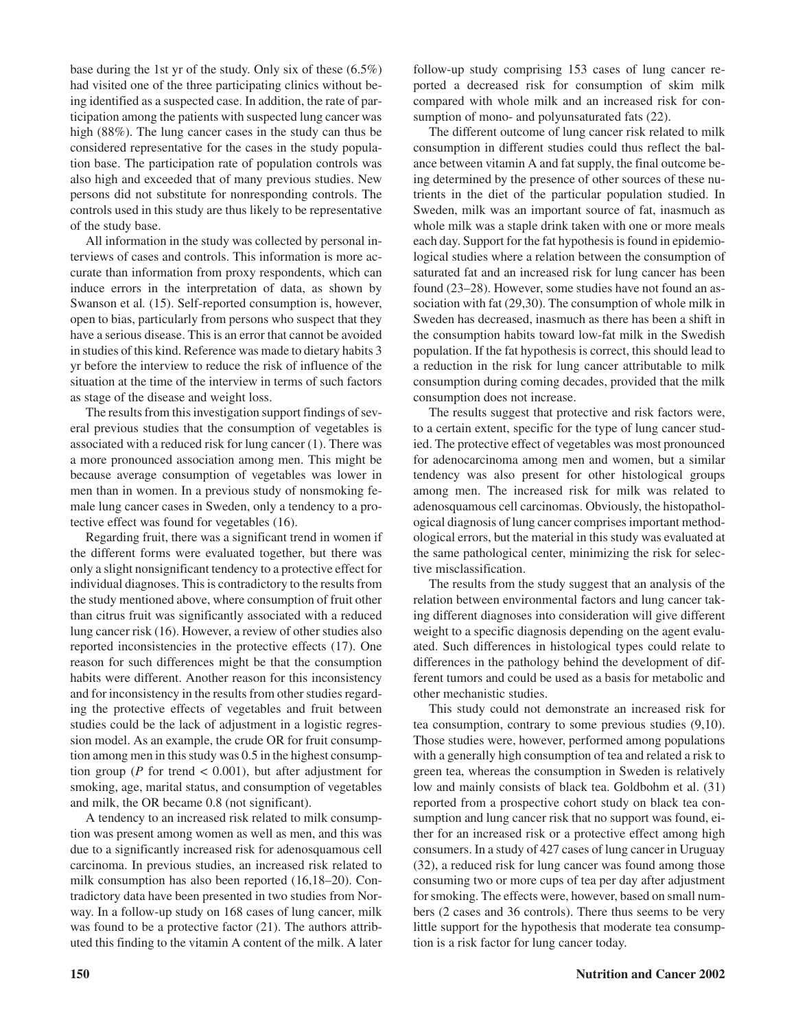base during the 1st yr of the study. Only six of these (6.5%) had visited one of the three participating clinics without being identified as a suspected case. In addition, the rate of participation among the patients with suspected lung cancer was high (88%). The lung cancer cases in the study can thus be considered representative for the cases in the study population base. The participation rate of population controls was also high and exceeded that of many previous studies. New persons did not substitute for nonresponding controls. The controls used in this study are thus likely to be representative of the study base.

All information in the study was collected by personal interviews of cases and controls. This information is more accurate than information from proxy respondents, which can induce errors in the interpretation of data, as shown by Swanson et al*.* (15). Self-reported consumption is, however, open to bias, particularly from persons who suspect that they have a serious disease. This is an error that cannot be avoided in studies of this kind. Reference was made to dietary habits 3 yr before the interview to reduce the risk of influence of the situation at the time of the interview in terms of such factors as stage of the disease and weight loss.

The results from this investigation support findings of several previous studies that the consumption of vegetables is associated with a reduced risk for lung cancer (1). There was a more pronounced association among men. This might be because average consumption of vegetables was lower in men than in women. In a previous study of nonsmoking female lung cancer cases in Sweden, only a tendency to a protective effect was found for vegetables (16).

Regarding fruit, there was a significant trend in women if the different forms were evaluated together, but there was only a slight nonsignificant tendency to a protective effect for individual diagnoses. This is contradictory to the results from the study mentioned above, where consumption of fruit other than citrus fruit was significantly associated with a reduced lung cancer risk (16). However, a review of other studies also reported inconsistencies in the protective effects (17). One reason for such differences might be that the consumption habits were different. Another reason for this inconsistency and for inconsistency in the results from other studies regarding the protective effects of vegetables and fruit between studies could be the lack of adjustment in a logistic regression model. As an example, the crude OR for fruit consumption among men in this study was 0.5 in the highest consumption group (*P* for trend < 0.001), but after adjustment for smoking, age, marital status, and consumption of vegetables and milk, the OR became 0.8 (not significant).

A tendency to an increased risk related to milk consumption was present among women as well as men, and this was due to a significantly increased risk for adenosquamous cell carcinoma. In previous studies, an increased risk related to milk consumption has also been reported (16,18–20). Contradictory data have been presented in two studies from Norway. In a follow-up study on 168 cases of lung cancer, milk was found to be a protective factor  $(21)$ . The authors attributed this finding to the vitamin A content of the milk. A later

follow-up study comprising 153 cases of lung cancer reported a decreased risk for consumption of skim milk compared with whole milk and an increased risk for consumption of mono- and polyunsaturated fats  $(22)$ .

The different outcome of lung cancer risk related to milk consumption in different studies could thus reflect the balance between vitamin A and fat supply, the final outcome being determined by the presence of other sources of these nutrients in the diet of the particular population studied. In Sweden, milk was an important source of fat, inasmuch as whole milk was a staple drink taken with one or more meals each day. Support for the fat hypothesis is found in epidemiological studies where a relation between the consumption of saturated fat and an increased risk for lung cancer has been found (23–28). However, some studies have not found an association with fat (29,30). The consumption of whole milk in Sweden has decreased, inasmuch as there has been a shift in the consumption habits toward low-fat milk in the Swedish population. If the fat hypothesis is correct, this should lead to a reduction in the risk for lung cancer attributable to milk consumption during coming decades, provided that the milk consumption does not increase.

The results suggest that protective and risk factors were, to a certain extent, specific for the type of lung cancer studied. The protective effect of vegetables was most pronounced for adenocarcinoma among men and women, but a similar tendency was also present for other histological groups among men. The increased risk for milk was related to adenosquamous cell carcinomas. Obviously, the histopathological diagnosis of lung cancer comprises important methodological errors, but the material in this study was evaluated at the same pathological center, minimizing the risk for selective misclassification.

The results from the study suggest that an analysis of the relation between environmental factors and lung cancer taking different diagnoses into consideration will give different weight to a specific diagnosis depending on the agent evaluated. Such differences in histological types could relate to differences in the pathology behind the development of different tumors and could be used as a basis for metabolic and other mechanistic studies.

This study could not demonstrate an increased risk for tea consumption, contrary to some previous studies (9,10). Those studies were, however, performed among populations with a generally high consumption of tea and related a risk to green tea, whereas the consumption in Sweden is relatively low and mainly consists of black tea. Goldbohm et al. (31) reported from a prospective cohort study on black tea consumption and lung cancer risk that no support was found, either for an increased risk or a protective effect among high consumers. In a study of 427 cases of lung cancer in Uruguay (32), a reduced risk for lung cancer was found among those consuming two or more cups of tea per day after adjustment for smoking. The effects were, however, based on small numbers (2 cases and 36 controls). There thus seems to be very little support for the hypothesis that moderate tea consumption is a risk factor for lung cancer today.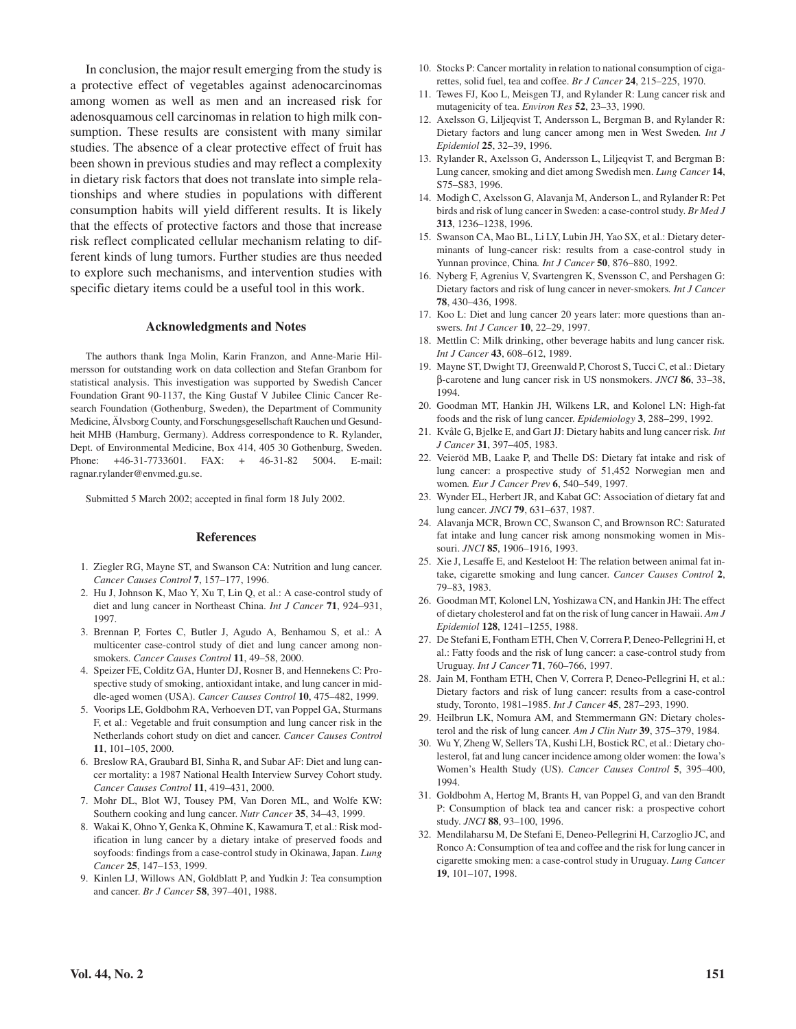In conclusion, the major result emerging from the study is a protective effect of vegetables against adenocarcinomas among women as well as men and an increased risk for adenosquamous cell carcinomas in relation to high milk consumption. These results are consistent with many similar studies. The absence of a clear protective effect of fruit has been shown in previous studies and may reflect a complexity in dietary risk factors that does not translate into simple relationships and where studies in populations with different consumption habits will yield different results. It is likely that the effects of protective factors and those that increase risk reflect complicated cellular mechanism relating to different kinds of lung tumors. Further studies are thus needed to explore such mechanisms, and intervention studies with specific dietary items could be a useful tool in this work.

#### **Acknowledgments and Notes**

The authors thank Inga Molin, Karin Franzon, and Anne-Marie Hilmersson for outstanding work on data collection and Stefan Granbom for statistical analysis. This investigation was supported by Swedish Cancer Foundation Grant 90-1137, the King Gustaf V Jubilee Clinic Cancer Research Foundation (Gothenburg, Sweden), the Department of Community Medicine, Älvsborg County, and Forschungsgesellschaft Rauchen und Gesundheit MHB (Hamburg, Germany). Address correspondence to R. Rylander, Dept. of Environmental Medicine, Box 414, 405 30 Gothenburg, Sweden. Phone: +46-31-7733601. FAX: + 46-31-82 5004. E-mail: ragnar.rylander@envmed.gu.se.

Submitted 5 March 2002; accepted in final form 18 July 2002.

#### **References**

- 1. Ziegler RG, Mayne ST, and Swanson CA: Nutrition and lung cancer. *Cancer Causes Control* **7**, 157–177, 1996.
- 2. Hu J, Johnson K, Mao Y, Xu T, Lin Q, et al.: A case-control study of diet and lung cancer in Northeast China. *Int J Cancer* **71**, 924–931, 1997.
- 3. Brennan P, Fortes C, Butler J, Agudo A, Benhamou S, et al.: A multicenter case-control study of diet and lung cancer among nonsmokers. *Cancer Causes Control* **11**, 49–58, 2000.
- 4. Speizer FE, Colditz GA, Hunter DJ, Rosner B, and Hennekens C: Prospective study of smoking, antioxidant intake, and lung cancer in middle-aged women (USA). *Cancer Causes Control* **10**, 475–482, 1999.
- 5. Voorips LE, Goldbohm RA, Verhoeven DT, van Poppel GA, Sturmans F, et al.: Vegetable and fruit consumption and lung cancer risk in the Netherlands cohort study on diet and cancer. *Cancer Causes Control* **11**, 101–105, 2000.
- 6. Breslow RA, Graubard BI, Sinha R, and Subar AF: Diet and lung cancer mortality: a 1987 National Health Interview Survey Cohort study. *Cancer Causes Control* **11**, 419–431, 2000.
- 7. Mohr DL, Blot WJ, Tousey PM, Van Doren ML, and Wolfe KW: Southern cooking and lung cancer. *Nutr Cancer* **35**, 34–43, 1999.
- 8. Wakai K, Ohno Y, Genka K, Ohmine K, Kawamura T, et al.: Risk modification in lung cancer by a dietary intake of preserved foods and soyfoods: findings from a case-control study in Okinawa, Japan. *Lung Cancer* **25**, 147–153, 1999.
- 9. Kinlen LJ, Willows AN, Goldblatt P, and Yudkin J: Tea consumption and cancer. *Br J Cancer* **58**, 397–401, 1988.
- 10. Stocks P: Cancer mortality in relation to national consumption of cigarettes, solid fuel, tea and coffee. *Br J Cancer* **24**, 215–225, 1970.
- 11. Tewes FJ, Koo L, Meisgen TJ, and Rylander R: Lung cancer risk and mutagenicity of tea. *Environ Res* **52**, 23–33, 1990.
- 12. Axelsson G, Liljeqvist T, Andersson L, Bergman B, and Rylander R: Dietary factors and lung cancer among men in West Sweden*. Int J Epidemiol* **25**, 32–39, 1996.
- 13. Rylander R, Axelsson G, Andersson L, Liljeqvist T, and Bergman B: Lung cancer, smoking and diet among Swedish men. *Lung Cancer* **14**, S75–S83, 1996.
- 14. Modigh C, Axelsson G, Alavanja M, Anderson L, and Rylander R: Pet birds and risk of lung cancer in Sweden: a case-control study. *Br Med J* **313**, 1236–1238, 1996.
- 15. Swanson CA, Mao BL, Li LY, Lubin JH, Yao SX, et al.: Dietary determinants of lung-cancer risk: results from a case-control study in Yunnan province, China*. Int J Cancer* **50**, 876–880, 1992.
- 16. Nyberg F, Agrenius V, Svartengren K, Svensson C, and Pershagen G: Dietary factors and risk of lung cancer in never-smokers*. Int J Cancer* **78**, 430–436, 1998.
- 17. Koo L: Diet and lung cancer 20 years later: more questions than answers*. Int J Cancer* **10**, 22–29, 1997.
- 18. Mettlin C: Milk drinking, other beverage habits and lung cancer risk*. Int J Cancer* **43**, 608–612, 1989.
- 19. Mayne ST, Dwight TJ, Greenwald P, Chorost S, Tucci C, et al.: Dietary β-carotene and lung cancer risk in US nonsmokers. *JNCI* **86**, 33–38, 1994.
- 20. Goodman MT, Hankin JH, Wilkens LR, and Kolonel LN: High-fat foods and the risk of lung cancer. *Epidemiology* **3**, 288–299, 1992.
- 21. Kvåle G, Bjelke E, and Gart JJ: Dietary habits and lung cancer risk*. Int J Cancer* **31**, 397–405, 1983.
- 22. Veieröd MB, Laake P, and Thelle DS: Dietary fat intake and risk of lung cancer: a prospective study of 51,452 Norwegian men and women*. Eur J Cancer Prev* **6**, 540–549, 1997.
- 23. Wynder EL, Herbert JR, and Kabat GC: Association of dietary fat and lung cancer. *JNCI* **79**, 631–637, 1987.
- 24. Alavanja MCR, Brown CC, Swanson C, and Brownson RC: Saturated fat intake and lung cancer risk among nonsmoking women in Missouri. *JNCI* **85**, 1906–1916, 1993.
- 25. Xie J, Lesaffe E, and Kesteloot H: The relation between animal fat intake, cigarette smoking and lung cancer. *Cancer Causes Control* **2**, 79–83, 1983.
- 26. Goodman MT, Kolonel LN, Yoshizawa CN, and Hankin JH: The effect of dietary cholesterol and fat on the risk of lung cancer in Hawaii. *Am J Epidemiol* **128**, 1241–1255, 1988.
- 27. De Stefani E, Fontham ETH, Chen V, Correra P, Deneo-Pellegrini H, et al.: Fatty foods and the risk of lung cancer: a case-control study from Uruguay. *Int J Cancer* **71**, 760–766, 1997.
- 28. Jain M, Fontham ETH, Chen V, Correra P, Deneo-Pellegrini H, et al.: Dietary factors and risk of lung cancer: results from a case-control study, Toronto, 1981–1985. *Int J Cancer* **45**, 287–293, 1990.
- 29. Heilbrun LK, Nomura AM, and Stemmermann GN: Dietary cholesterol and the risk of lung cancer. *Am J Clin Nutr* **39**, 375–379, 1984.
- 30. Wu Y, Zheng W, Sellers TA, Kushi LH, Bostick RC, et al.: Dietary cholesterol, fat and lung cancer incidence among older women: the Iowa's Women's Health Study (US). *Cancer Causes Control* **5**, 395–400, 1994.
- 31. Goldbohm A, Hertog M, Brants H, van Poppel G, and van den Brandt P: Consumption of black tea and cancer risk: a prospective cohort study. *JNCI* **88**, 93–100, 1996.
- 32. Mendilaharsu M, De Stefani E, Deneo-Pellegrini H, Carzoglio JC, and Ronco A: Consumption of tea and coffee and the risk for lung cancer in cigarette smoking men: a case-control study in Uruguay. *Lung Cancer* **19**, 101–107, 1998.